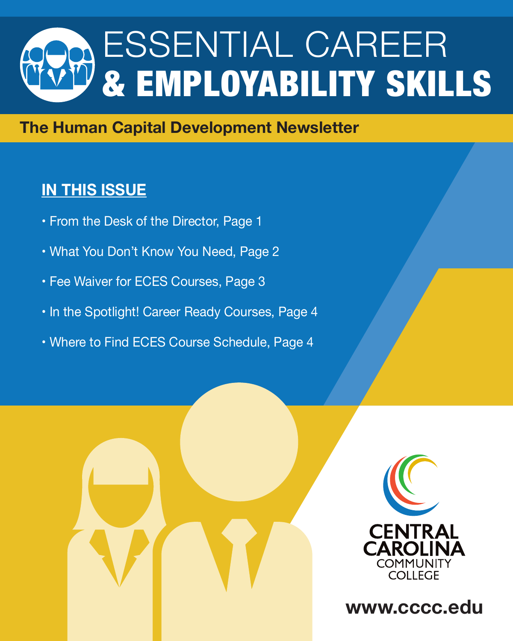# ESSENTIAL CAREER & EMPLOYABILITY SKILLS

#### **The Human Capital Development Newsletter**

### **IN THIS ISSUE**

- From the Desk of the Director, Page 1
- What You Don't Know You Need, Page 2
- Fee Waiver for ECES Courses, Page 3
- In the Spotlight! Career Ready Courses, Page 4
- Where to Find ECES Course Schedule, Page 4





**www.cccc.edu**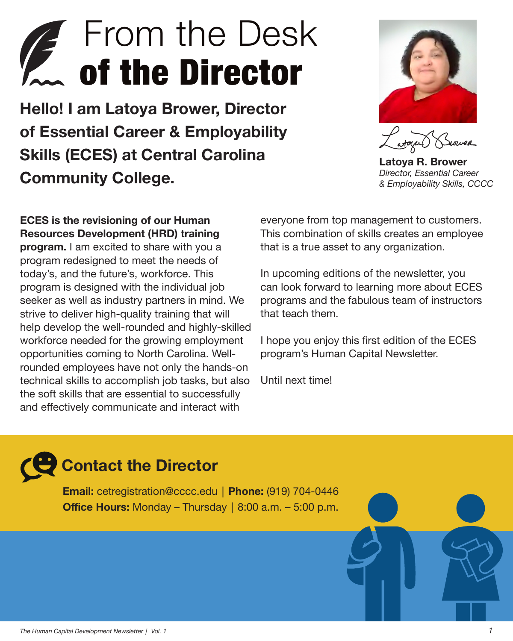### **From the Desk** *T* of the Director

**Hello! I am Latoya Brower, Director of Essential Career & Employability Skills (ECES) at Central Carolina Community College.** 



**Latoya R. Brower** *Director, Essential Career & Employability Skills, CCCC*

**ECES is the revisioning of our Human Resources Development (HRD) training** 

**program.** I am excited to share with you a program redesigned to meet the needs of today's, and the future's, workforce. This program is designed with the individual job seeker as well as industry partners in mind. We strive to deliver high-quality training that will help develop the well-rounded and highly-skilled workforce needed for the growing employment opportunities coming to North Carolina. Wellrounded employees have not only the hands-on technical skills to accomplish job tasks, but also the soft skills that are essential to successfully and effectively communicate and interact with

everyone from top management to customers. This combination of skills creates an employee that is a true asset to any organization.

In upcoming editions of the newsletter, you can look forward to learning more about ECES programs and the fabulous team of instructors that teach them.

I hope you enjoy this first edition of the ECES program's Human Capital Newsletter.

Until next time!

### **Contact the Director**

**Email:** cetregistration@cccc.edu│**Phone:** (919) 704-0446 **Office Hours:** Monday – Thursday│8:00 a.m. – 5:00 p.m.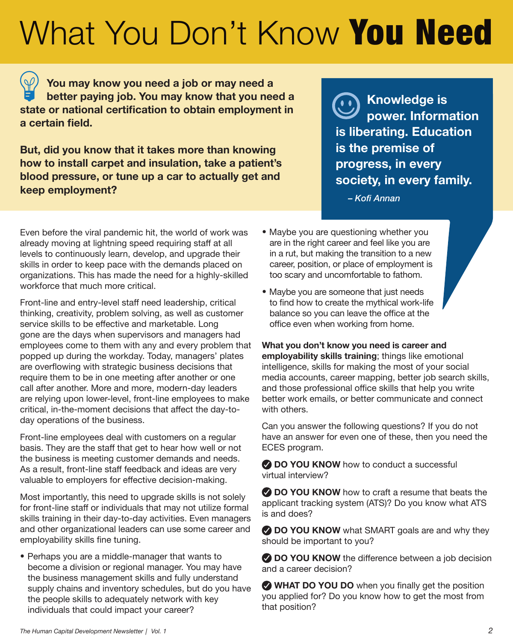### What You Don't Know You Need

 **You may know you need a job or may need a better paying job. You may know that you need a state or national certification to obtain employment in a certain field.**

**But, did you know that it takes more than knowing how to install carpet and insulation, take a patient's blood pressure, or tune up a car to actually get and keep employment?**

 **Knowledge is power. Information is liberating. Education is the premise of progress, in every society, in every family.**

*– Kofi Annan*

Even before the viral pandemic hit, the world of work was already moving at lightning speed requiring staff at all levels to continuously learn, develop, and upgrade their skills in order to keep pace with the demands placed on organizations. This has made the need for a highly-skilled workforce that much more critical.

Front-line and entry-level staff need leadership, critical thinking, creativity, problem solving, as well as customer service skills to be effective and marketable. Long gone are the days when supervisors and managers had employees come to them with any and every problem that popped up during the workday. Today, managers' plates are overflowing with strategic business decisions that require them to be in one meeting after another or one call after another. More and more, modern-day leaders are relying upon lower-level, front-line employees to make critical, in-the-moment decisions that affect the day-today operations of the business.

Front-line employees deal with customers on a regular basis. They are the staff that get to hear how well or not the business is meeting customer demands and needs. As a result, front-line staff feedback and ideas are very valuable to employers for effective decision-making.

Most importantly, this need to upgrade skills is not solely for front-line staff or individuals that may not utilize formal skills training in their day-to-day activities. Even managers and other organizational leaders can use some career and employability skills fine tuning.

• Perhaps you are a middle-manager that wants to become a division or regional manager. You may have the business management skills and fully understand supply chains and inventory schedules, but do you have the people skills to adequately network with key individuals that could impact your career?

- Maybe you are questioning whether you are in the right career and feel like you are in a rut, but making the transition to a new career, position, or place of employment is too scary and uncomfortable to fathom.
- Maybe you are someone that just needs to find how to create the mythical work-life balance so you can leave the office at the office even when working from home.

**What you don't know you need is career and employability skills training**; things like emotional intelligence, skills for making the most of your social media accounts, career mapping, better job search skills, and those professional office skills that help you write better work emails, or better communicate and connect with others.

Can you answer the following questions? If you do not have an answer for even one of these, then you need the ECES program.

**DO YOU KNOW** how to conduct a successful virtual interview?

**DO YOU KNOW** how to craft a resume that beats the applicant tracking system (ATS)? Do you know what ATS is and does?

**2 DO YOU KNOW** what SMART goals are and why they should be important to you?

**2 DO YOU KNOW** the difference between a job decision and a career decision?

**WHAT DO YOU DO** when you finally get the position you applied for? Do you know how to get the most from that position?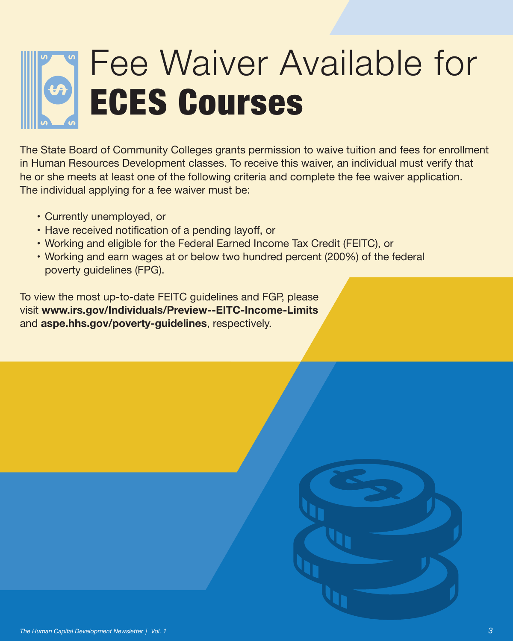# Fee Waiver Available for ECES Courses

The State Board of Community Colleges grants permission to waive tuition and fees for enrollment in Human Resources Development classes. To receive this waiver, an individual must verify that he or she meets at least one of the following criteria and complete the fee waiver application. The individual applying for a fee waiver must be:

- Currently unemployed, or
- Have received notification of a pending layoff, or
- Working and eligible for the Federal Earned Income Tax Credit (FEITC), or
- Working and earn wages at or below two hundred percent (200%) of the federal poverty guidelines (FPG).

To view the most up-to-date FEITC guidelines and FGP, please visit **www.irs.gov/Individuals/Preview--EITC-Income-Limits** and **aspe.hhs.gov/poverty-guidelines**, respectively.